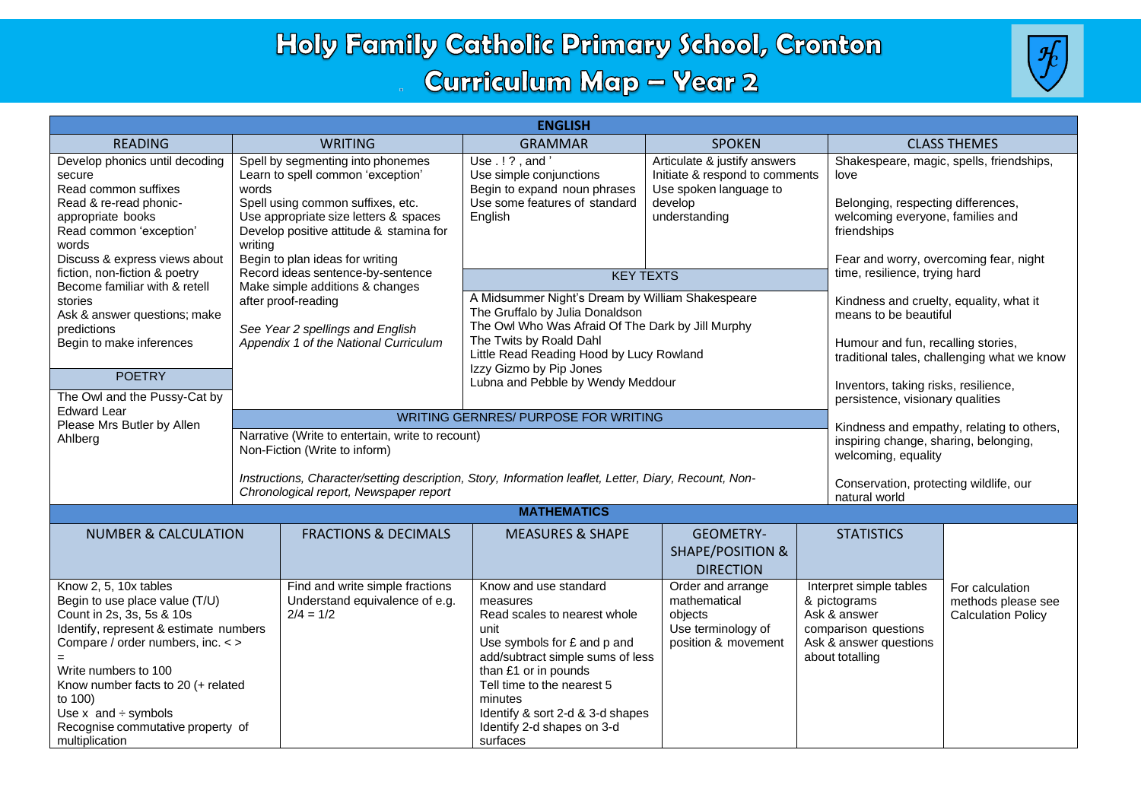## Holy Family Catholic Primary School, Cronton **Curriculum Map - Year 2**



| <b>ENGLISH</b>                                                                                                                                                                                                                                                                                                                    |                                                                                                                                                                                                                                                        |                                                                                                                                                                                                                                                                                             |                                                                                                                      |                                                                                                                              |                                                                                                                                                                                     |  |  |
|-----------------------------------------------------------------------------------------------------------------------------------------------------------------------------------------------------------------------------------------------------------------------------------------------------------------------------------|--------------------------------------------------------------------------------------------------------------------------------------------------------------------------------------------------------------------------------------------------------|---------------------------------------------------------------------------------------------------------------------------------------------------------------------------------------------------------------------------------------------------------------------------------------------|----------------------------------------------------------------------------------------------------------------------|------------------------------------------------------------------------------------------------------------------------------|-------------------------------------------------------------------------------------------------------------------------------------------------------------------------------------|--|--|
| <b>READING</b>                                                                                                                                                                                                                                                                                                                    | <b>WRITING</b>                                                                                                                                                                                                                                         | <b>GRAMMAR</b>                                                                                                                                                                                                                                                                              | <b>SPOKEN</b>                                                                                                        |                                                                                                                              | <b>CLASS THEMES</b>                                                                                                                                                                 |  |  |
| Develop phonics until decoding<br>secure<br>Read common suffixes<br>Read & re-read phonic-<br>appropriate books<br>Read common 'exception'<br>words<br>Discuss & express views about                                                                                                                                              | Spell by segmenting into phonemes<br>Learn to spell common 'exception'<br>words<br>Spell using common suffixes, etc.<br>Use appropriate size letters & spaces<br>Develop positive attitude & stamina for<br>writina<br>Begin to plan ideas for writing | Use.!?, and'<br>Use simple conjunctions<br>Begin to expand noun phrases<br>Use some features of standard<br>English                                                                                                                                                                         | Articulate & justify answers<br>Initiate & respond to comments<br>Use spoken language to<br>develop<br>understanding |                                                                                                                              | Shakespeare, magic, spells, friendships,<br>love<br>Belonging, respecting differences,<br>welcoming everyone, families and<br>friendships<br>Fear and worry, overcoming fear, night |  |  |
| fiction, non-fiction & poetry                                                                                                                                                                                                                                                                                                     | Record ideas sentence-by-sentence                                                                                                                                                                                                                      | <b>KEY TEXTS</b>                                                                                                                                                                                                                                                                            |                                                                                                                      |                                                                                                                              | time, resilience, trying hard                                                                                                                                                       |  |  |
| Become familiar with & retell<br>stories<br>Ask & answer questions; make<br>predictions<br>Begin to make inferences                                                                                                                                                                                                               | Make simple additions & changes<br>after proof-reading<br>See Year 2 spellings and English<br>Appendix 1 of the National Curriculum                                                                                                                    | A Midsummer Night's Dream by William Shakespeare<br>The Gruffalo by Julia Donaldson<br>The Owl Who Was Afraid Of The Dark by Jill Murphy<br>The Twits by Roald Dahl                                                                                                                         |                                                                                                                      |                                                                                                                              | Kindness and cruelty, equality, what it<br>means to be beautiful<br>Humour and fun, recalling stories,                                                                              |  |  |
|                                                                                                                                                                                                                                                                                                                                   |                                                                                                                                                                                                                                                        | Little Read Reading Hood by Lucy Rowland<br>Izzy Gizmo by Pip Jones                                                                                                                                                                                                                         |                                                                                                                      |                                                                                                                              | traditional tales, challenging what we know                                                                                                                                         |  |  |
| <b>POETRY</b><br>The Owl and the Pussy-Cat by                                                                                                                                                                                                                                                                                     |                                                                                                                                                                                                                                                        | Lubna and Pebble by Wendy Meddour                                                                                                                                                                                                                                                           |                                                                                                                      | Inventors, taking risks, resilience,<br>persistence, visionary qualities                                                     |                                                                                                                                                                                     |  |  |
| <b>Edward Lear</b><br>Please Mrs Butler by Allen                                                                                                                                                                                                                                                                                  | <b>WRITING GERNRES/ PURPOSE FOR WRITING</b>                                                                                                                                                                                                            |                                                                                                                                                                                                                                                                                             | Kindness and empathy, relating to others,                                                                            |                                                                                                                              |                                                                                                                                                                                     |  |  |
| Ahlberg                                                                                                                                                                                                                                                                                                                           | Narrative (Write to entertain, write to recount)<br>Non-Fiction (Write to inform)                                                                                                                                                                      |                                                                                                                                                                                                                                                                                             | inspiring change, sharing, belonging,<br>welcoming, equality                                                         |                                                                                                                              |                                                                                                                                                                                     |  |  |
|                                                                                                                                                                                                                                                                                                                                   | Instructions, Character/setting description, Story, Information leaflet, Letter, Diary, Recount, Non-<br>Chronological report, Newspaper report                                                                                                        |                                                                                                                                                                                                                                                                                             |                                                                                                                      | natural world                                                                                                                | Conservation, protecting wildlife, our                                                                                                                                              |  |  |
| <b>MATHEMATICS</b>                                                                                                                                                                                                                                                                                                                |                                                                                                                                                                                                                                                        |                                                                                                                                                                                                                                                                                             |                                                                                                                      |                                                                                                                              |                                                                                                                                                                                     |  |  |
| <b>FRACTIONS &amp; DECIMALS</b><br><b>NUMBER &amp; CALCULATION</b>                                                                                                                                                                                                                                                                |                                                                                                                                                                                                                                                        | <b>MEASURES &amp; SHAPE</b>                                                                                                                                                                                                                                                                 | <b>GEOMETRY-</b><br><b>SHAPE/POSITION &amp;</b><br><b>DIRECTION</b>                                                  | <b>STATISTICS</b>                                                                                                            |                                                                                                                                                                                     |  |  |
| Know 2, 5, 10x tables<br>Begin to use place value (T/U)<br>Count in 2s, 3s, 5s & 10s<br>Identify, represent & estimate numbers<br>Compare / order numbers, inc. < ><br>Write numbers to 100<br>Know number facts to 20 (+ related<br>to 100)<br>Use $x$ and $\div$ symbols<br>Recognise commutative property of<br>multiplication | Find and write simple fractions<br>Understand equivalence of e.g.<br>$2/4 = 1/2$                                                                                                                                                                       | Know and use standard<br>measures<br>Read scales to nearest whole<br>unit<br>Use symbols for £ and p and<br>add/subtract simple sums of less<br>than £1 or in pounds<br>Tell time to the nearest 5<br>minutes<br>Identify & sort 2-d & 3-d shapes<br>Identify 2-d shapes on 3-d<br>surfaces | Order and arrange<br>mathematical<br>objects<br>Use terminology of<br>position & movement                            | Interpret simple tables<br>& pictograms<br>Ask & answer<br>comparison questions<br>Ask & answer questions<br>about totalling | For calculation<br>methods please see<br><b>Calculation Policy</b>                                                                                                                  |  |  |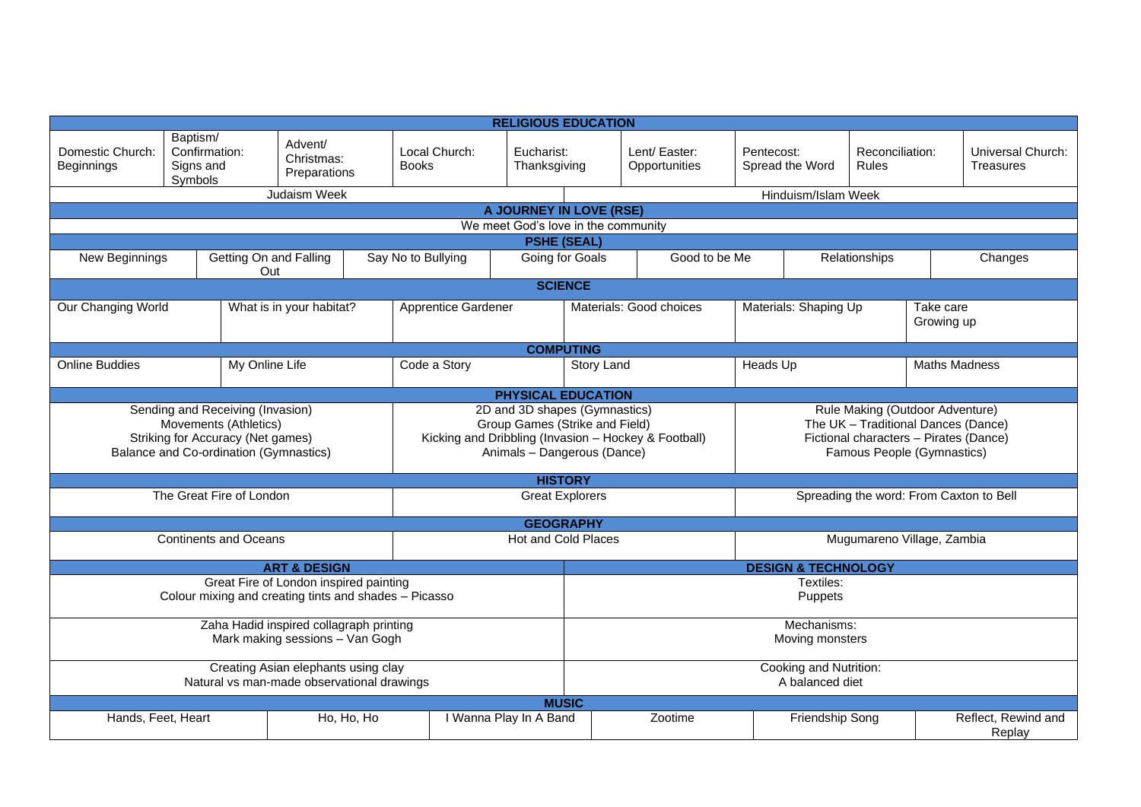| <b>RELIGIOUS EDUCATION</b>                                                                                                               |                                                   |                                                                                                                                                        |                                       |                                                                                                                                                |                                           |                                         |                               |            |                       |                          |                         |                                |
|------------------------------------------------------------------------------------------------------------------------------------------|---------------------------------------------------|--------------------------------------------------------------------------------------------------------------------------------------------------------|---------------------------------------|------------------------------------------------------------------------------------------------------------------------------------------------|-------------------------------------------|-----------------------------------------|-------------------------------|------------|-----------------------|--------------------------|-------------------------|--------------------------------|
| Domestic Church:<br>Beginnings                                                                                                           | Baptism/<br>Confirmation:<br>Signs and<br>Symbols |                                                                                                                                                        | Advent/<br>Christmas:<br>Preparations | Local Church:<br><b>Books</b>                                                                                                                  | Eucharist:<br>Thanksgiving                |                                         | Lent/Easter:<br>Opportunities | Pentecost: | Spread the Word       | Reconciliation:<br>Rules |                         | Universal Church:<br>Treasures |
|                                                                                                                                          |                                                   |                                                                                                                                                        | Judaism Week                          |                                                                                                                                                |                                           |                                         |                               |            | Hinduism/Islam Week   |                          |                         |                                |
|                                                                                                                                          |                                                   |                                                                                                                                                        |                                       |                                                                                                                                                | A JOURNEY IN LOVE (RSE)                   |                                         |                               |            |                       |                          |                         |                                |
|                                                                                                                                          |                                                   |                                                                                                                                                        |                                       |                                                                                                                                                | We meet God's love in the community       |                                         |                               |            |                       |                          |                         |                                |
| <b>PSHE (SEAL)</b>                                                                                                                       |                                                   |                                                                                                                                                        |                                       |                                                                                                                                                |                                           |                                         |                               |            |                       |                          |                         |                                |
| New Beginnings                                                                                                                           |                                                   | Out                                                                                                                                                    | Getting On and Falling                | Say No to Bullying                                                                                                                             | Going for Goals                           |                                         | Good to be Me                 |            |                       | Relationships            |                         | Changes                        |
|                                                                                                                                          |                                                   |                                                                                                                                                        |                                       |                                                                                                                                                | <b>SCIENCE</b>                            |                                         |                               |            |                       |                          |                         |                                |
| Our Changing World                                                                                                                       |                                                   |                                                                                                                                                        | What is in your habitat?              | <b>Apprentice Gardener</b>                                                                                                                     |                                           |                                         | Materials: Good choices       |            | Materials: Shaping Up |                          | Take care<br>Growing up |                                |
| <b>COMPUTING</b>                                                                                                                         |                                                   |                                                                                                                                                        |                                       |                                                                                                                                                |                                           |                                         |                               |            |                       |                          |                         |                                |
| <b>Online Buddies</b>                                                                                                                    |                                                   | My Online Life                                                                                                                                         |                                       | Code a Story                                                                                                                                   |                                           | Story Land                              |                               | Heads Up   |                       |                          | <b>Maths Madness</b>    |                                |
| <b>PHYSICAL EDUCATION</b>                                                                                                                |                                                   |                                                                                                                                                        |                                       |                                                                                                                                                |                                           |                                         |                               |            |                       |                          |                         |                                |
| Sending and Receiving (Invasion)<br>Movements (Athletics)<br>Striking for Accuracy (Net games)<br>Balance and Co-ordination (Gymnastics) |                                                   | 2D and 3D shapes (Gymnastics)<br>Group Games (Strike and Field)<br>Kicking and Dribbling (Invasion - Hockey & Football)<br>Animals - Dangerous (Dance) |                                       | Rule Making (Outdoor Adventure)<br>The UK - Traditional Dances (Dance)<br>Fictional characters - Pirates (Dance)<br>Famous People (Gymnastics) |                                           |                                         |                               |            |                       |                          |                         |                                |
| <b>HISTORY</b>                                                                                                                           |                                                   |                                                                                                                                                        |                                       |                                                                                                                                                |                                           |                                         |                               |            |                       |                          |                         |                                |
| The Great Fire of London                                                                                                                 |                                                   |                                                                                                                                                        | <b>Great Explorers</b>                |                                                                                                                                                |                                           | Spreading the word: From Caxton to Bell |                               |            |                       |                          |                         |                                |
| <b>GEOGRAPHY</b>                                                                                                                         |                                                   |                                                                                                                                                        |                                       |                                                                                                                                                |                                           |                                         |                               |            |                       |                          |                         |                                |
| <b>Continents and Oceans</b>                                                                                                             |                                                   |                                                                                                                                                        | Hot and Cold Places                   |                                                                                                                                                |                                           | Mugumareno Village, Zambia              |                               |            |                       |                          |                         |                                |
| <b>DESIGN &amp; TECHNOLOGY</b><br><b>ART &amp; DESIGN</b>                                                                                |                                                   |                                                                                                                                                        |                                       |                                                                                                                                                |                                           |                                         |                               |            |                       |                          |                         |                                |
| Great Fire of London inspired painting<br>Colour mixing and creating tints and shades - Picasso                                          |                                                   |                                                                                                                                                        |                                       | Textiles:<br>Puppets                                                                                                                           |                                           |                                         |                               |            |                       |                          |                         |                                |
| Zaha Hadid inspired collagraph printing<br>Mark making sessions - Van Gogh                                                               |                                                   |                                                                                                                                                        |                                       | Mechanisms:<br>Moving monsters                                                                                                                 |                                           |                                         |                               |            |                       |                          |                         |                                |
| Creating Asian elephants using clay<br>Natural vs man-made observational drawings                                                        |                                                   |                                                                                                                                                        |                                       |                                                                                                                                                | Cooking and Nutrition:<br>A balanced diet |                                         |                               |            |                       |                          |                         |                                |
| <b>MUSIC</b>                                                                                                                             |                                                   |                                                                                                                                                        |                                       |                                                                                                                                                |                                           |                                         |                               |            |                       |                          |                         |                                |
| Hands, Feet, Heart                                                                                                                       |                                                   |                                                                                                                                                        | Ho, Ho, Ho                            |                                                                                                                                                | I Wanna Play In A Band                    |                                         | Zootime                       |            | Friendship Song       |                          |                         | Reflect, Rewind and<br>Replay  |